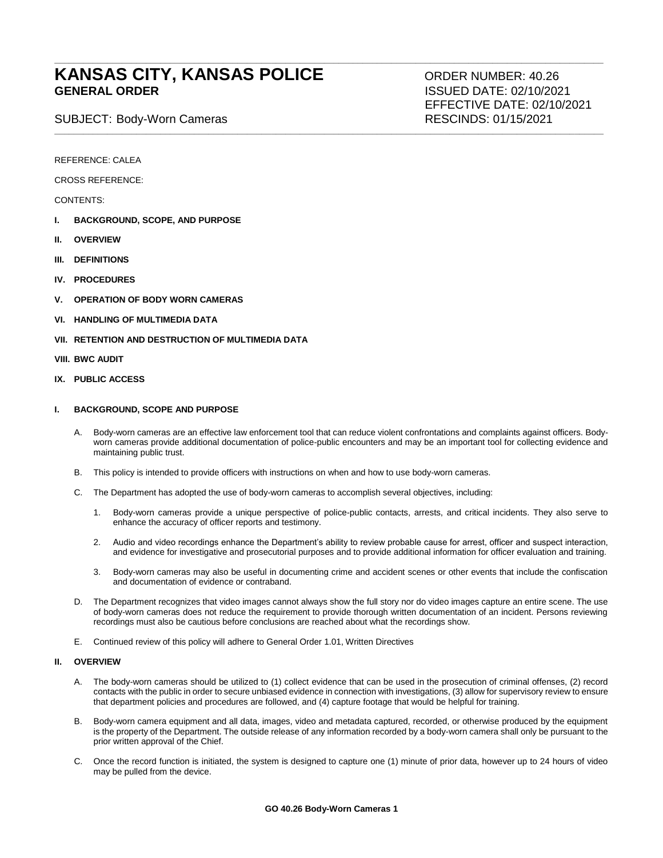# **KANSAS CITY, KANSAS POLICE** ORDER NUMBER: 40.26<br>GENERAL ORDER SANDER SENER A SISUED DATE: 02/10/202

SUBJECT: Body-Worn Cameras Rescurses RESCINDS: 01/15/2021

**ISSUED DATE: 02/10/2021** EFFECTIVE DATE: 02/10/2021

REFERENCE: CALEA

CROSS REFERENCE:

CONTENTS:

- **I. BACKGROUND, SCOPE, AND PURPOSE**
- **II. OVERVIEW**
- **III. DEFINITIONS**
- **IV. PROCEDURES**
- **V. OPERATION OF BODY WORN CAMERAS**
- **VI. HANDLING OF MULTIMEDIA DATA**
- **VII. RETENTION AND DESTRUCTION OF MULTIMEDIA DATA**
- **VIII. BWC AUDIT**
- **IX. PUBLIC ACCESS**

# **I. BACKGROUND, SCOPE AND PURPOSE**

A. Body-worn cameras are an effective law enforcement tool that can reduce violent confrontations and complaints against officers. Bodyworn cameras provide additional documentation of police-public encounters and may be an important tool for collecting evidence and maintaining public trust.

**\_\_\_\_\_\_\_\_\_\_\_\_\_\_\_\_\_\_\_\_\_\_\_\_\_\_\_\_\_\_\_\_\_\_\_\_\_\_\_\_\_\_\_\_\_\_\_\_\_\_\_\_\_\_\_\_\_\_\_\_\_\_\_\_\_\_\_\_\_\_\_\_\_\_\_\_\_\_\_\_\_\_\_\_\_\_\_\_\_\_\_\_\_\_\_\_\_\_\_\_\_\_\_\_\_\_\_\_\_\_\_\_\_\_**

**\_\_\_\_\_\_\_\_\_\_\_\_\_\_\_\_\_\_\_\_\_\_\_\_\_\_\_\_\_\_\_\_\_\_\_\_\_\_\_\_\_\_\_\_\_\_\_\_\_\_\_\_\_\_\_\_\_\_\_\_\_\_\_\_\_\_\_\_\_\_\_\_\_\_\_\_\_\_\_\_\_\_\_\_\_\_\_\_\_\_\_\_\_\_\_\_\_\_\_\_\_\_\_\_\_\_\_\_\_\_\_\_\_\_**

- B. This policy is intended to provide officers with instructions on when and how to use body-worn cameras.
- C. The Department has adopted the use of body-worn cameras to accomplish several objectives, including:
	- 1. Body-worn cameras provide a unique perspective of police-public contacts, arrests, and critical incidents. They also serve to enhance the accuracy of officer reports and testimony.
	- 2. Audio and video recordings enhance the Department's ability to review probable cause for arrest, officer and suspect interaction, and evidence for investigative and prosecutorial purposes and to provide additional information for officer evaluation and training.
	- 3. Body-worn cameras may also be useful in documenting crime and accident scenes or other events that include the confiscation and documentation of evidence or contraband.
- D. The Department recognizes that video images cannot always show the full story nor do video images capture an entire scene. The use of body-worn cameras does not reduce the requirement to provide thorough written documentation of an incident. Persons reviewing recordings must also be cautious before conclusions are reached about what the recordings show.
- E. Continued review of this policy will adhere to General Order 1.01, Written Directives

## **II. OVERVIEW**

- A. The body-worn cameras should be utilized to (1) collect evidence that can be used in the prosecution of criminal offenses, (2) record contacts with the public in order to secure unbiased evidence in connection with investigations, (3) allow for supervisory review to ensure that department policies and procedures are followed, and (4) capture footage that would be helpful for training.
- B. Body-worn camera equipment and all data, images, video and metadata captured, recorded, or otherwise produced by the equipment is the property of the Department. The outside release of any information recorded by a body-worn camera shall only be pursuant to the prior written approval of the Chief.
- C. Once the record function is initiated, the system is designed to capture one (1) minute of prior data, however up to 24 hours of video may be pulled from the device.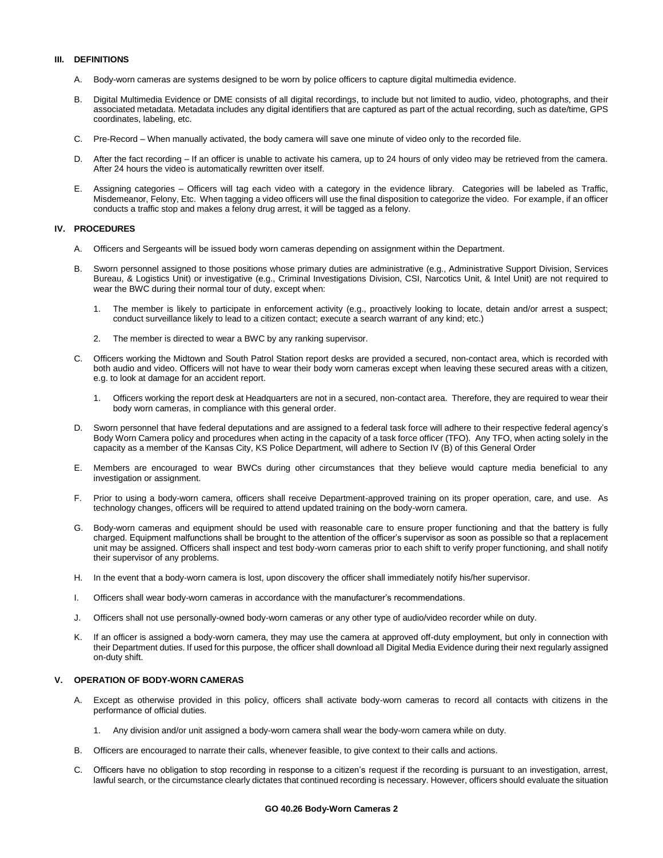# **III. DEFINITIONS**

- A. Body-worn cameras are systems designed to be worn by police officers to capture digital multimedia evidence.
- B. Digital Multimedia Evidence or DME consists of all digital recordings, to include but not limited to audio, video, photographs, and their associated metadata. Metadata includes any digital identifiers that are captured as part of the actual recording, such as date/time, GPS coordinates, labeling, etc.
- C. Pre-Record When manually activated, the body camera will save one minute of video only to the recorded file.
- D. After the fact recording If an officer is unable to activate his camera, up to 24 hours of only video may be retrieved from the camera. After 24 hours the video is automatically rewritten over itself.
- E. Assigning categories Officers will tag each video with a category in the evidence library. Categories will be labeled as Traffic, Misdemeanor, Felony, Etc. When tagging a video officers will use the final disposition to categorize the video. For example, if an officer conducts a traffic stop and makes a felony drug arrest, it will be tagged as a felony.

# **IV. PROCEDURES**

- A. Officers and Sergeants will be issued body worn cameras depending on assignment within the Department.
- B. Sworn personnel assigned to those positions whose primary duties are administrative (e.g., Administrative Support Division, Services Bureau, & Logistics Unit) or investigative (e.g., Criminal Investigations Division, CSI, Narcotics Unit, & Intel Unit) are not required to wear the BWC during their normal tour of duty, except when:
	- 1. The member is likely to participate in enforcement activity (e.g., proactively looking to locate, detain and/or arrest a suspect; conduct surveillance likely to lead to a citizen contact; execute a search warrant of any kind; etc.)
	- 2. The member is directed to wear a BWC by any ranking supervisor.
- C. Officers working the Midtown and South Patrol Station report desks are provided a secured, non-contact area, which is recorded with both audio and video. Officers will not have to wear their body worn cameras except when leaving these secured areas with a citizen, e.g. to look at damage for an accident report.
	- 1. Officers working the report desk at Headquarters are not in a secured, non-contact area. Therefore, they are required to wear their body worn cameras, in compliance with this general order.
- D. Sworn personnel that have federal deputations and are assigned to a federal task force will adhere to their respective federal agency's Body Worn Camera policy and procedures when acting in the capacity of a task force officer (TFO). Any TFO, when acting solely in the capacity as a member of the Kansas City, KS Police Department, will adhere to Section IV (B) of this General Order
- E. Members are encouraged to wear BWCs during other circumstances that they believe would capture media beneficial to any investigation or assignment.
- F. Prior to using a body-worn camera, officers shall receive Department-approved training on its proper operation, care, and use. As technology changes, officers will be required to attend updated training on the body-worn camera.
- G. Body-worn cameras and equipment should be used with reasonable care to ensure proper functioning and that the battery is fully charged. Equipment malfunctions shall be brought to the attention of the officer's supervisor as soon as possible so that a replacement unit may be assigned. Officers shall inspect and test body-worn cameras prior to each shift to verify proper functioning, and shall notify their supervisor of any problems.
- H. In the event that a body-worn camera is lost, upon discovery the officer shall immediately notify his/her supervisor.
- I. Officers shall wear body-worn cameras in accordance with the manufacturer's recommendations.
- J. Officers shall not use personally-owned body-worn cameras or any other type of audio/video recorder while on duty.
- K. If an officer is assigned a body-worn camera, they may use the camera at approved off-duty employment, but only in connection with their Department duties. If used for this purpose, the officer shall download all Digital Media Evidence during their next regularly assigned on-duty shift.

# **V. OPERATION OF BODY-WORN CAMERAS**

- Except as otherwise provided in this policy, officers shall activate body-worn cameras to record all contacts with citizens in the performance of official duties.
	- Any division and/or unit assigned a body-worn camera shall wear the body-worn camera while on duty.
- B. Officers are encouraged to narrate their calls, whenever feasible, to give context to their calls and actions.
- C. Officers have no obligation to stop recording in response to a citizen's request if the recording is pursuant to an investigation, arrest, lawful search, or the circumstance clearly dictates that continued recording is necessary. However, officers should evaluate the situation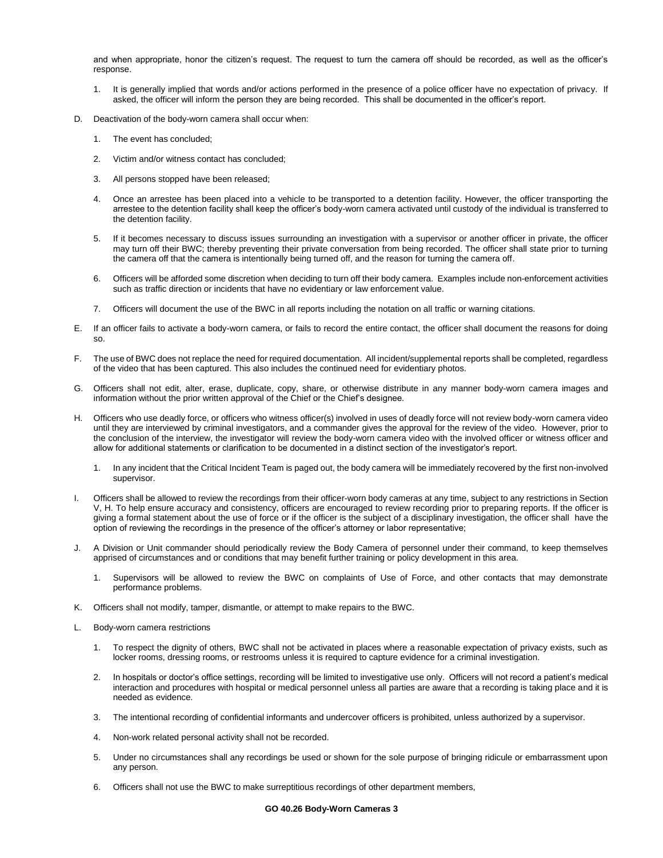and when appropriate, honor the citizen's request. The request to turn the camera off should be recorded, as well as the officer's response.

- 1. It is generally implied that words and/or actions performed in the presence of a police officer have no expectation of privacy. If asked, the officer will inform the person they are being recorded. This shall be documented in the officer's report.
- D. Deactivation of the body-worn camera shall occur when:
	- 1. The event has concluded;
	- 2. Victim and/or witness contact has concluded;
	- 3. All persons stopped have been released;
	- 4. Once an arrestee has been placed into a vehicle to be transported to a detention facility. However, the officer transporting the arrestee to the detention facility shall keep the officer's body-worn camera activated until custody of the individual is transferred to the detention facility.
	- 5. If it becomes necessary to discuss issues surrounding an investigation with a supervisor or another officer in private, the officer may turn off their BWC; thereby preventing their private conversation from being recorded. The officer shall state prior to turning the camera off that the camera is intentionally being turned off, and the reason for turning the camera off.
	- 6. Officers will be afforded some discretion when deciding to turn off their body camera. Examples include non-enforcement activities such as traffic direction or incidents that have no evidentiary or law enforcement value.
	- 7. Officers will document the use of the BWC in all reports including the notation on all traffic or warning citations.
- E. If an officer fails to activate a body-worn camera, or fails to record the entire contact, the officer shall document the reasons for doing so.
- F. The use of BWC does not replace the need for required documentation. All incident/supplemental reports shall be completed, regardless of the video that has been captured. This also includes the continued need for evidentiary photos.
- G. Officers shall not edit, alter, erase, duplicate, copy, share, or otherwise distribute in any manner body-worn camera images and information without the prior written approval of the Chief or the Chief's designee.
- H. Officers who use deadly force, or officers who witness officer(s) involved in uses of deadly force will not review body-worn camera video until they are interviewed by criminal investigators, and a commander gives the approval for the review of the video. However, prior to the conclusion of the interview, the investigator will review the body-worn camera video with the involved officer or witness officer and allow for additional statements or clarification to be documented in a distinct section of the investigator's report.
	- 1. In any incident that the Critical Incident Team is paged out, the body camera will be immediately recovered by the first non-involved supervisor.
- I. Officers shall be allowed to review the recordings from their officer-worn body cameras at any time, subject to any restrictions in Section V, H. To help ensure accuracy and consistency, officers are encouraged to review recording prior to preparing reports. If the officer is giving a formal statement about the use of force or if the officer is the subject of a disciplinary investigation, the officer shall have the option of reviewing the recordings in the presence of the officer's attorney or labor representative;
- J. A Division or Unit commander should periodically review the Body Camera of personnel under their command, to keep themselves apprised of circumstances and or conditions that may benefit further training or policy development in this area.
	- 1. Supervisors will be allowed to review the BWC on complaints of Use of Force, and other contacts that may demonstrate performance problems.
- K. Officers shall not modify, tamper, dismantle, or attempt to make repairs to the BWC.
- L. Body-worn camera restrictions
	- 1. To respect the dignity of others, BWC shall not be activated in places where a reasonable expectation of privacy exists, such as locker rooms, dressing rooms, or restrooms unless it is required to capture evidence for a criminal investigation.
	- 2. In hospitals or doctor's office settings, recording will be limited to investigative use only. Officers will not record a patient's medical interaction and procedures with hospital or medical personnel unless all parties are aware that a recording is taking place and it is needed as evidence.
	- 3. The intentional recording of confidential informants and undercover officers is prohibited, unless authorized by a supervisor.
	- 4. Non-work related personal activity shall not be recorded.
	- 5. Under no circumstances shall any recordings be used or shown for the sole purpose of bringing ridicule or embarrassment upon any person.
	- 6. Officers shall not use the BWC to make surreptitious recordings of other department members,

#### **GO 40.26 Body-Worn Cameras 3**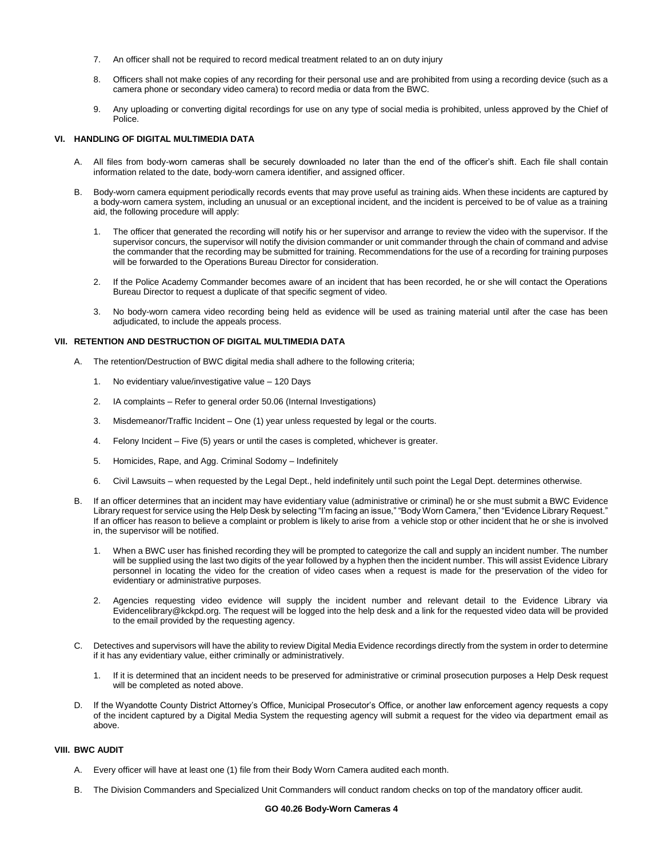- 7. An officer shall not be required to record medical treatment related to an on duty injury
- 8. Officers shall not make copies of any recording for their personal use and are prohibited from using a recording device (such as a camera phone or secondary video camera) to record media or data from the BWC.
- 9. Any uploading or converting digital recordings for use on any type of social media is prohibited, unless approved by the Chief of Police.

# **VI. HANDLING OF DIGITAL MULTIMEDIA DATA**

- A. All files from body-worn cameras shall be securely downloaded no later than the end of the officer's shift. Each file shall contain information related to the date, body-worn camera identifier, and assigned officer.
- Body-worn camera equipment periodically records events that may prove useful as training aids. When these incidents are captured by a body-worn camera system, including an unusual or an exceptional incident, and the incident is perceived to be of value as a training aid, the following procedure will apply:
	- 1. The officer that generated the recording will notify his or her supervisor and arrange to review the video with the supervisor. If the supervisor concurs, the supervisor will notify the division commander or unit commander through the chain of command and advise the commander that the recording may be submitted for training. Recommendations for the use of a recording for training purposes will be forwarded to the Operations Bureau Director for consideration.
	- 2. If the Police Academy Commander becomes aware of an incident that has been recorded, he or she will contact the Operations Bureau Director to request a duplicate of that specific segment of video.
	- 3. No body-worn camera video recording being held as evidence will be used as training material until after the case has been adjudicated, to include the appeals process.

## **VII. RETENTION AND DESTRUCTION OF DIGITAL MULTIMEDIA DATA**

- A. The retention/Destruction of BWC digital media shall adhere to the following criteria;
	- 1. No evidentiary value/investigative value 120 Days
	- 2. IA complaints Refer to general order 50.06 (Internal Investigations)
	- 3. Misdemeanor/Traffic Incident One (1) year unless requested by legal or the courts.
	- 4. Felony Incident Five (5) years or until the cases is completed, whichever is greater.
	- 5. Homicides, Rape, and Agg. Criminal Sodomy Indefinitely
	- 6. Civil Lawsuits when requested by the Legal Dept., held indefinitely until such point the Legal Dept. determines otherwise.
- If an officer determines that an incident may have evidentiary value (administrative or criminal) he or she must submit a BWC Evidence Library request for service using the Help Desk by selecting "I'm facing an issue," "Body Worn Camera," then "Evidence Library Request." If an officer has reason to believe a complaint or problem is likely to arise from a vehicle stop or other incident that he or she is involved in, the supervisor will be notified.
	- 1. When a BWC user has finished recording they will be prompted to categorize the call and supply an incident number. The number will be supplied using the last two digits of the year followed by a hyphen then the incident number. This will assist Evidence Library personnel in locating the video for the creation of video cases when a request is made for the preservation of the video for evidentiary or administrative purposes.
	- 2. Agencies requesting video evidence will supply the incident number and relevant detail to the Evidence Library via Evidencelibrary@kckpd.org. The request will be logged into the help desk and a link for the requested video data will be provided to the email provided by the requesting agency.
- C. Detectives and supervisors will have the ability to review Digital Media Evidence recordings directly from the system in order to determine if it has any evidentiary value, either criminally or administratively.
	- 1. If it is determined that an incident needs to be preserved for administrative or criminal prosecution purposes a Help Desk request will be completed as noted above.
- D. If the Wyandotte County District Attorney's Office, Municipal Prosecutor's Office, or another law enforcement agency requests a copy of the incident captured by a Digital Media System the requesting agency will submit a request for the video via department email as above.

## **VIII. BWC AUDIT**

- A. Every officer will have at least one (1) file from their Body Worn Camera audited each month.
- B. The Division Commanders and Specialized Unit Commanders will conduct random checks on top of the mandatory officer audit.

#### **GO 40.26 Body-Worn Cameras 4**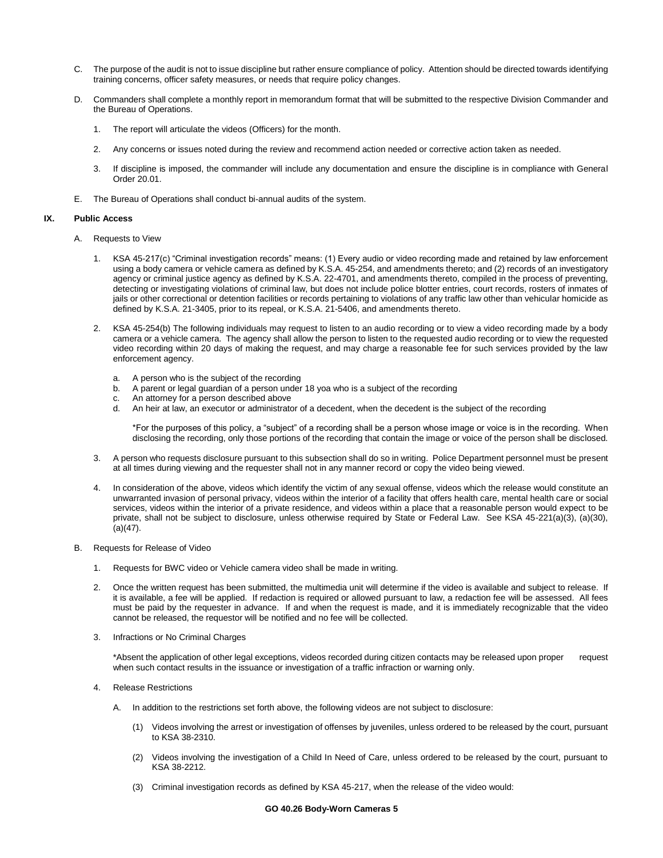- C. The purpose of the audit is not to issue discipline but rather ensure compliance of policy. Attention should be directed towards identifying training concerns, officer safety measures, or needs that require policy changes.
- D. Commanders shall complete a monthly report in memorandum format that will be submitted to the respective Division Commander and the Bureau of Operations.
	- 1. The report will articulate the videos (Officers) for the month.
	- 2. Any concerns or issues noted during the review and recommend action needed or corrective action taken as needed.
	- 3. If discipline is imposed, the commander will include any documentation and ensure the discipline is in compliance with General Order 20.01.
- E. The Bureau of Operations shall conduct bi-annual audits of the system.

## **IX. Public Access**

- A. Requests to View
	- 1. KSA 45-217(c) "Criminal investigation records" means: (1) Every audio or video recording made and retained by law enforcement using a body camera or vehicle camera as defined by K.S.A. 45-254, and amendments thereto; and (2) records of an investigatory agency or criminal justice agency as defined by K.S.A. 22-4701, and amendments thereto, compiled in the process of preventing, detecting or investigating violations of criminal law, but does not include police blotter entries, court records, rosters of inmates of jails or other correctional or detention facilities or records pertaining to violations of any traffic law other than vehicular homicide as defined by K.S.A. 21-3405, prior to its repeal, or K.S.A. 21-5406, and amendments thereto.
	- 2. KSA 45-254(b) The following individuals may request to listen to an audio recording or to view a video recording made by a body camera or a vehicle camera. The agency shall allow the person to listen to the requested audio recording or to view the requested video recording within 20 days of making the request, and may charge a reasonable fee for such services provided by the law enforcement agency.
		- a. A person who is the subject of the recording
		- b. A parent or legal guardian of a person under 18 yoa who is a subject of the recording
		- c. An attorney for a person described above
		- d. An heir at law, an executor or administrator of a decedent, when the decedent is the subject of the recording

\*For the purposes of this policy, a "subject" of a recording shall be a person whose image or voice is in the recording. When disclosing the recording, only those portions of the recording that contain the image or voice of the person shall be disclosed.

- 3. A person who requests disclosure pursuant to this subsection shall do so in writing. Police Department personnel must be present at all times during viewing and the requester shall not in any manner record or copy the video being viewed.
- 4. In consideration of the above, videos which identify the victim of any sexual offense, videos which the release would constitute an unwarranted invasion of personal privacy, videos within the interior of a facility that offers health care, mental health care or social services, videos within the interior of a private residence, and videos within a place that a reasonable person would expect to be private, shall not be subject to disclosure, unless otherwise required by State or Federal Law. See KSA 45-221(a)(3), (a)(30),  $(a)(47)$ .
- B. Requests for Release of Video
	- 1. Requests for BWC video or Vehicle camera video shall be made in writing.
	- 2. Once the written request has been submitted, the multimedia unit will determine if the video is available and subject to release. If it is available, a fee will be applied. If redaction is required or allowed pursuant to law, a redaction fee will be assessed. All fees must be paid by the requester in advance. If and when the request is made, and it is immediately recognizable that the video cannot be released, the requestor will be notified and no fee will be collected.
	- 3. Infractions or No Criminal Charges

\*Absent the application of other legal exceptions, videos recorded during citizen contacts may be released upon proper request when such contact results in the issuance or investigation of a traffic infraction or warning only.

- 4. Release Restrictions
	- A. In addition to the restrictions set forth above, the following videos are not subject to disclosure:
		- (1) Videos involving the arrest or investigation of offenses by juveniles, unless ordered to be released by the court, pursuant to KSA 38-2310.
		- (2) Videos involving the investigation of a Child In Need of Care, unless ordered to be released by the court, pursuant to KSA 38-2212.
		- (3) Criminal investigation records as defined by KSA 45-217, when the release of the video would: